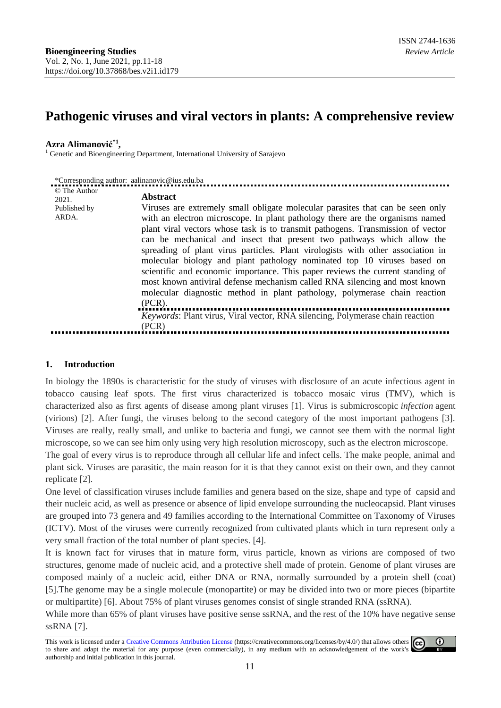# **Pathogenic viruses and viral vectors in plants: A comprehensive review**

### **Azra Alimanović \*1 ,**

<sup>1</sup> Genetic and Bioengineering Department, International University of Sarajevo

| *Corresponding author: aalinanovic@ius.edu.ba  |                                                                                                                                                                                                                                                                                                                                                                                                                                                                                                                                                                                                                                                                                                                                                                                                                                                                   |  |  |  |  |
|------------------------------------------------|-------------------------------------------------------------------------------------------------------------------------------------------------------------------------------------------------------------------------------------------------------------------------------------------------------------------------------------------------------------------------------------------------------------------------------------------------------------------------------------------------------------------------------------------------------------------------------------------------------------------------------------------------------------------------------------------------------------------------------------------------------------------------------------------------------------------------------------------------------------------|--|--|--|--|
| © The Author<br>2021.<br>Published by<br>ARDA. | <b>Abstract</b><br>Viruses are extremely small obligate molecular parasites that can be seen only<br>with an electron microscope. In plant pathology there are the organisms named<br>plant viral vectors whose task is to transmit pathogens. Transmission of vector<br>can be mechanical and insect that present two pathways which allow the<br>spreading of plant virus particles. Plant virologists with other association in<br>molecular biology and plant pathology nominated top 10 viruses based on<br>scientific and economic importance. This paper reviews the current standing of<br>most known antiviral defense mechanism called RNA silencing and most known<br>molecular diagnostic method in plant pathology, polymerase chain reaction<br>$(PCR)$ .<br>Keywords: Plant virus, Viral vector, RNA silencing, Polymerase chain reaction<br>(PCR) |  |  |  |  |
|                                                |                                                                                                                                                                                                                                                                                                                                                                                                                                                                                                                                                                                                                                                                                                                                                                                                                                                                   |  |  |  |  |

#### **1. Introduction**

In biology the 1890s is characteristic for the study of viruses with disclosure of an acute infectious agent in tobacco causing leaf spots. The first virus characterized is tobacco mosaic virus (TMV), which is characterized also as first agents of disease among plant viruses [1]. Virus is submicroscopic *infection* agent (virions) [2]. After fungi, the viruses belong to the second category of the most important pathogens [3]. Viruses are really, really small, and unlike to bacteria and fungi, we cannot see them with the normal light microscope, so we can see him only using very high resolution microscopy, such as the electron microscope.

The goal of every virus is to reproduce through all cellular life and infect cells. The make people, animal and plant sick. Viruses are parasitic, the main reason for it is that they cannot exist on their own, and they cannot replicate [2].

One level of classification viruses include families and genera based on the size, shape and type of capsid and their nucleic acid, as well as presence or absence of lipid envelope surrounding the nucleocapsid. Plant viruses are grouped into 73 genera and 49 families according to the International Committee on Taxonomy of Viruses (ICTV). Most of the viruses were currently recognized from cultivated plants which in turn represent only a very small fraction of the total number of plant species. [4].

It is known fact for viruses that in mature form, virus particle, known as virions are composed of two structures, genome made of nucleic acid, and a protective shell made of protein. Genome of plant viruses are composed mainly of a nucleic acid, either DNA or RNA, normally surrounded by a protein shell (coat) [5].The genome may be a single molecule (monopartite) or may be divided into two or more pieces (bipartite or multipartite) [6]. About 75% of plant viruses genomes consist of single stranded RNA (ssRNA).

While more than 65% of plant viruses have positive sense ssRNA, and the rest of the 10% have negative sense ssRNA [7].

This work is licensed under a Creative Commons Attribution License (https://creativecommons.org/licenses/by/4.0/) that allows others  $\odot$ (cc) to share and adapt the material for any purpose (even commercially), in any medium with an acknowledgement of the work's authorship and initial publication in this journal.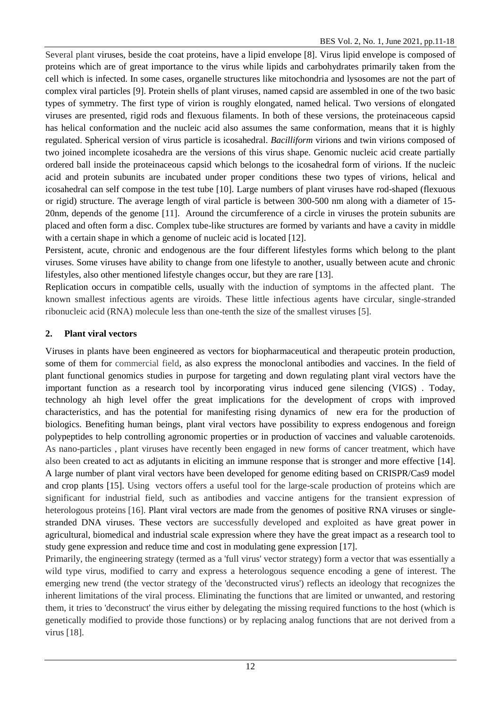Several plant viruses, beside the coat proteins, have a lipid envelope [8]. Virus lipid envelope is composed of proteins which are of great importance to the virus while lipids and carbohydrates primarily taken from the cell which is infected. In some cases, organelle structures like mitochondria and lysosomes are not the part of complex viral particles [9]. Protein shells of plant viruses, named capsid are assembled in one of the two basic types of symmetry. The first type of virion is roughly elongated, named helical. Two versions of elongated viruses are presented, rigid rods and flexuous filaments. In both of these versions, the proteinaceous capsid has helical conformation and the nucleic acid also assumes the same conformation, means that it is highly regulated. Spherical version of virus particle is icosahedral. *Bacilliform* virions and twin virions composed of two joined incomplete icosahedra are the versions of this virus shape. Genomic nucleic acid create partially ordered ball inside the proteinaceous capsid which belongs to the icosahedral form of virions. If the nucleic acid and protein subunits are incubated under proper conditions these two types of virions, helical and icosahedral can self compose in the test tube [10]. Large numbers of plant viruses have rod-shaped (flexuous or rigid) structure. The average length of viral particle is between 300-500 nm along with a diameter of 15- 20nm, depends of the genome [11]. Around the circumference of a circle in viruses the protein subunits are placed and often form a disc. Complex tube-like structures are formed by variants and have a cavity in middle with a certain shape in which a genome of nucleic acid is located [12].

Persistent, acute, chronic and endogenous are the four different lifestyles forms which belong to the plant viruses. Some viruses have ability to change from one lifestyle to another, usually between acute and chronic lifestyles, also other mentioned lifestyle changes occur, but they are rare [13].

Replication occurs in compatible cells, usually with the induction of symptoms in the affected plant. The known smallest infectious agents are viroids. These little infectious agents have circular, single-stranded ribonucleic acid (RNA) molecule less than one-tenth the size of the smallest viruses [5].

## **2. Plant viral vectors**

Viruses in plants have been engineered as vectors for biopharmaceutical and therapeutic protein production, some of them for commercial field, as also express the monoclonal antibodies and vaccines. In the field of plant functional genomics studies in purpose for targeting and down regulating plant viral vectors have the important function as a research tool by incorporating virus induced gene silencing (VIGS) . Today, technology ah high level offer the great implications for the development of crops with improved characteristics, and has the potential for manifesting rising dynamics of new era for the production of biologics. Benefiting human beings, plant viral vectors have possibility to express endogenous and foreign polypeptides to help controlling agronomic properties or in production of vaccines and valuable carotenoids. As nano-particles , plant viruses have recently been engaged in new forms of cancer treatment, which have also been created to act as adjutants in eliciting an immune response that is stronger and more effective [14]. A large number of plant viral vectors have been developed for genome editing based on CRISPR/Cas9 model and crop plants [15]. Using vectors offers a useful tool for the large-scale production of proteins which are significant for industrial field, such as antibodies and vaccine antigens for the transient expression of heterologous proteins [16]. Plant viral vectors are made from the genomes of positive RNA viruses or singlestranded DNA viruses. These vectors are successfully developed and exploited as have great power in agricultural, biomedical and industrial scale expression where they have the great impact as a research tool to study gene expression and reduce time and cost in modulating gene expression [17].

Primarily, the engineering strategy (termed as a 'full virus' vector strategy) form a vector that was essentially a wild type virus, modified to carry and express a heterologous sequence encoding a gene of interest. The emerging new trend (the vector strategy of the 'deconstructed virus') reflects an ideology that recognizes the inherent limitations of the viral process. Eliminating the functions that are limited or unwanted, and restoring them, it tries to 'deconstruct' the virus either by delegating the missing required functions to the host (which is genetically modified to provide those functions) or by replacing analog functions that are not derived from a virus [18].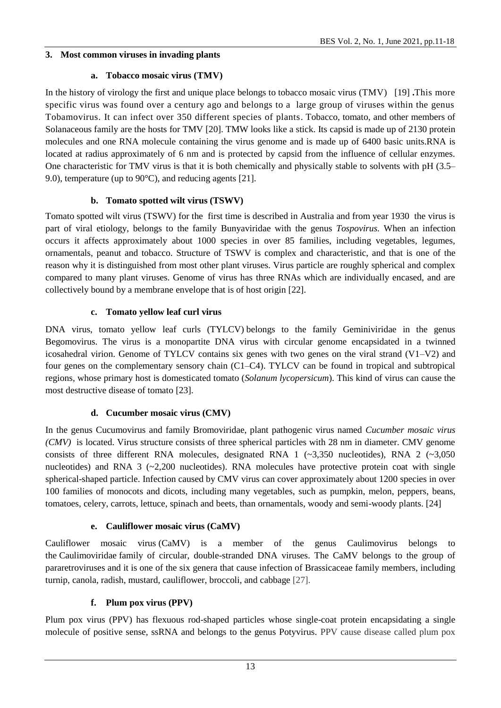## **3. Most common viruses in invading plants**

## **a. Tobacco mosaic virus (TMV)**

In the history of virology the first and unique place belongs to tobacco mosaic virus (TMV) [19] **.**This more specific virus was found over a century ago and belongs to a large group of viruses within the genus Tobamovirus. It can infect over 350 different species of plants. Tobacco, tomato, and other members of Solanaceous family are the hosts for TMV [20]. TMW looks like a stick. Its capsid is made up of 2130 protein molecules and one RNA molecule containing the virus genome and is made up of 6400 basic units.RNA is located at radius approximately of 6 nm and is protected by capsid from the influence of cellular enzymes. One characteristic for TMV virus is that it is both chemically and physically stable to solvents with pH (3.5– 9.0), temperature (up to 90°C), and reducing agents [21].

## **b. Tomato spotted wilt virus (TSWV)**

Tomato spotted wilt virus (TSWV) for the first time is described in Australia and from year 1930 the virus is part of viral etiology, belongs to the family Bunyaviridae with the genus *Tospovirus.* When an infection occurs it affects approximately about 1000 species in over 85 families, including vegetables, legumes, ornamentals, peanut and tobacco. Structure of TSWV is complex and characteristic, and that is one of the reason why it is distinguished from most other plant viruses. Virus particle are roughly spherical and complex compared to many plant viruses. Genome of virus has three RNAs which are individually encased, and are collectively bound by a membrane envelope that is of host origin [22].

## **c. Tomato yellow leaf curl virus**

DNA virus, tomato yellow leaf curls (TYLCV) belongs to the family Geminiviridae in the genus Begomovirus. The virus is a monopartite DNA virus with circular genome encapsidated in a twinned icosahedral virion. Genome of TYLCV contains six genes with two genes on the viral strand (V1–V2) and four genes on the complementary sensory chain (C1–C4). TYLCV can be found in tropical and subtropical regions, whose primary host is domesticated tomato (*Solanum lycopersicum*). This kind of virus can cause the most destructive disease of tomato [23].

## **d. Cucumber mosaic virus (CMV)**

In the genus Cucumovirus and family Bromoviridae, plant pathogenic virus named *Cucumber mosaic virus (CMV)* is located. Virus structure consists of three spherical particles with 28 nm in diameter. CMV genome consists of three different RNA molecules, designated RNA 1 (~3,350 nucleotides), RNA 2 (~3,050 nucleotides) and RNA  $3$  ( $\sim$ 2,200 nucleotides). RNA molecules have protective protein coat with single spherical-shaped particle. Infection caused by CMV virus can cover approximately about 1200 species in over 100 families of monocots and dicots, including many vegetables, such as pumpkin, melon, peppers, beans, tomatoes, celery, carrots, lettuce, spinach and beets, than ornamentals, woody and semi-woody plants. [24]

## **e. Cauliflower mosaic virus (CaMV)**

Cauliflower mosaic virus (CaMV) is a member of the genus Caulimovirus belongs to the Caulimoviridae family of circular, double-stranded DNA viruses. The CaMV belongs to the group of pararetroviruses and it is one of the six genera that cause infection of Brassicaceae family members, including turnip, canola, radish, mustard, cauliflower, broccoli, and cabbage [27].

## **f. Plum pox virus (PPV)**

Plum pox virus (PPV) has flexuous rod-shaped particles whose single-coat protein encapsidating a single molecule of positive sense, ssRNA and belongs to the genus Potyvirus. PPV cause disease called plum pox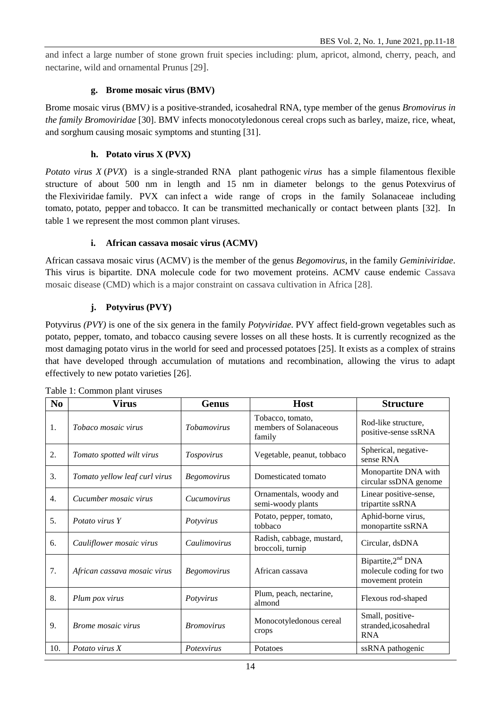and infect a large number of stone grown fruit species including: plum, apricot, almond, cherry, peach, and nectarine, wild and ornamental Prunus [29].

#### **g. Brome mosaic virus (BMV)**

Brome mosaic virus (BMV*)* is a positive-stranded, icosahedral RNA, type member of the genus *Bromovirus in the family Bromoviridae* [30]. BMV infects monocotyledonous cereal crops such as barley, maize, rice, wheat, and sorghum causing mosaic symptoms and stunting [31].

### **h. Potato virus X (PVX)**

*Potato virus X* (*PVX*) is a single-stranded RNA plant pathogenic *virus* has a simple filamentous flexible structure of about 500 nm in length and 15 nm in diameter belongs to the genus Potexvirus of the Flexiviridae family. PVX can infect a wide range of crops in the family Solanaceae including tomato, potato, pepper and tobacco. It can be transmitted mechanically or contact between plants [32]. In table 1 we represent the most common plant viruses.

### **i. African cassava mosaic virus (ACMV)**

African cassava mosaic virus (ACMV) is the member of the genus *Begomovirus*, in the family *Geminiviridae*. This virus is bipartite. DNA molecule code for two movement proteins. ACMV cause endemic Cassava mosaic disease (CMD) which is a major constraint on cassava cultivation in Africa [28].

### **j. Potyvirus (PVY)**

Potyvirus *(PVY)* is one of the six genera in the family *Potyviridae.* PVY affect field-grown vegetables such as potato, pepper, tomato, and tobacco causing severe losses on all these hosts. It is currently recognized as the most damaging potato virus in the world for seed and processed potatoes [25]. It exists as a complex of strains that have developed through accumulation of mutations and recombination, allowing the virus to adapt effectively to new potato varieties [26].

| N <sub>0</sub> | <b>Virus</b>                  | <b>Genus</b>       | <b>Host</b>                                          | <b>Structure</b>                                                              |
|----------------|-------------------------------|--------------------|------------------------------------------------------|-------------------------------------------------------------------------------|
| 1.             | Tobaco mosaic virus           | <b>Tobamovirus</b> | Tobacco, tomato,<br>members of Solanaceous<br>family | Rod-like structure,<br>positive-sense ssRNA                                   |
| 2.             | Tomato spotted wilt virus     | Tospovirus         | Vegetable, peanut, tobbaco                           | Spherical, negative-<br>sense RNA                                             |
| 3.             | Tomato yellow leaf curl virus | <b>Begomovirus</b> | Domesticated tomato                                  | Monopartite DNA with<br>circular ssDNA genome                                 |
| 4.             | Cucumber mosaic virus         | Cucumovirus        | Ornamentals, woody and<br>semi-woody plants          | Linear positive-sense,<br>tripartite ssRNA                                    |
| 5.             | Potato virus Y                | Potyvirus          | Potato, pepper, tomato,<br>tobbaco                   | Aphid-borne virus,<br>monopartite ssRNA                                       |
| 6.             | Cauliflower mosaic virus      | Caulimovirus       | Radish, cabbage, mustard,<br>broccoli, turnip        | Circular, dsDNA                                                               |
| 7.             | African cassava mosaic virus  | <b>Begomovirus</b> | African cassava                                      | Bipartite, 2 <sup>nd</sup> DNA<br>molecule coding for two<br>movement protein |
| 8.             | Plum pox virus                | Potyvirus          | Plum, peach, nectarine,<br>almond                    | Flexous rod-shaped                                                            |
| 9.             | Brome mosaic virus            | <b>Bromovirus</b>  | Monocotyledonous cereal<br>crops                     | Small, positive-<br>stranded,icosahedral<br><b>RNA</b>                        |
| 10.            | Potato virus X                | Potexvirus         | Potatoes                                             | ssRNA pathogenic                                                              |

Table 1: Common plant viruses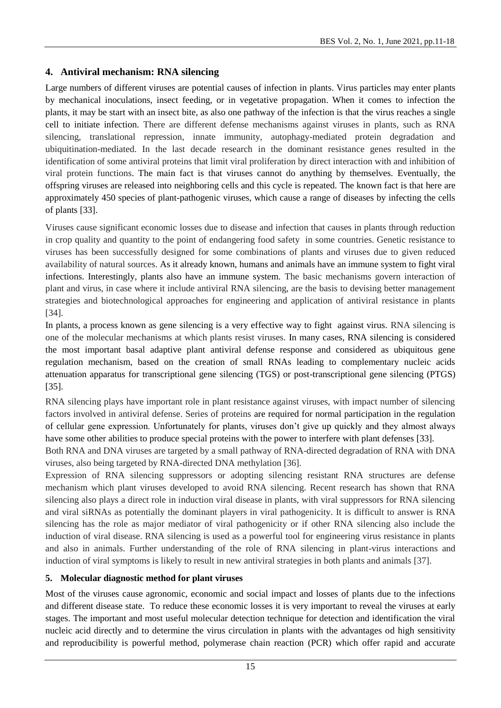## **4. Antiviral mechanism: RNA silencing**

Large numbers of different viruses are potential causes of infection in plants. Virus particles may enter plants by mechanical inoculations, insect feeding, or in vegetative propagation. When it comes to infection the plants, it may be start with an insect bite, as also one pathway of the infection is that the virus reaches a single cell to initiate infection. There are different defense mechanisms against viruses in plants, such as RNA silencing, translational repression, innate immunity, autophagy-mediated protein degradation and ubiquitination-mediated. In the last decade research in the dominant resistance genes resulted in the identification of some antiviral proteins that limit viral proliferation by direct interaction with and inhibition of viral protein functions. The main fact is that viruses cannot do anything by themselves. Eventually, the offspring viruses are released into neighboring cells and this cycle is repeated. The known fact is that here are approximately 450 species of plant-pathogenic viruses, which cause a range of diseases by infecting the cells of plants [33].

Viruses cause significant economic losses due to disease and infection that causes in plants through reduction in crop quality and quantity to the point of endangering food safety in some countries. Genetic resistance to viruses has been successfully designed for some combinations of plants and viruses due to given reduced availability of natural sources. As it already known, humans and animals have an immune system to fight viral infections. Interestingly, plants also have an immune system. The basic mechanisms govern interaction of plant and virus, in case where it include antiviral RNA silencing, are the basis to devising better management strategies and biotechnological approaches for engineering and application of antiviral resistance in plants [34].

In plants, a process known as gene silencing is a very effective way to fight against virus. RNA silencing is one of the molecular mechanisms at which plants resist viruses. In many cases, RNA silencing is considered the most important basal adaptive plant antiviral defense response and considered as ubiquitous gene regulation mechanism, based on the creation of small RNAs leading to complementary nucleic acids attenuation apparatus for transcriptional gene silencing (TGS) or post-transcriptional gene silencing (PTGS) [35].

RNA silencing plays have important role in plant resistance against viruses, with impact number of silencing factors involved in antiviral defense. Series of proteins are required for normal participation in the regulation of cellular gene expression. Unfortunately for plants, viruses don't give up quickly and they almost always have some other abilities to produce special proteins with the power to interfere with plant defenses [33].

Both RNA and DNA viruses are targeted by a small pathway of RNA-directed degradation of RNA with DNA viruses, also being targeted by RNA-directed DNA methylation [36].

Expression of RNA silencing suppressors or adopting silencing resistant RNA structures are defense mechanism which plant viruses developed to avoid RNA silencing. Recent research has shown that RNA silencing also plays a direct role in induction viral disease in plants, with viral suppressors for RNA silencing and viral siRNAs as potentially the dominant players in viral pathogenicity. It is difficult to answer is RNA silencing has the role as major mediator of viral pathogenicity or if other RNA silencing also include the induction of viral disease. RNA silencing is used as a powerful tool for engineering virus resistance in plants and also in animals. Further understanding of the role of RNA silencing in plant-virus interactions and induction of viral symptoms is likely to result in new antiviral strategies in both plants and animals [37].

## **5. Molecular diagnostic method for plant viruses**

Most of the viruses cause agronomic, economic and social impact and losses of plants due to the infections and different disease state. To reduce these economic losses it is very important to reveal the viruses at early stages. The important and most useful molecular detection technique for detection and identification the viral nucleic acid directly and to determine the virus circulation in plants with the advantages od high sensitivity and reproducibility is powerful method, polymerase chain reaction (PCR) which offer rapid and accurate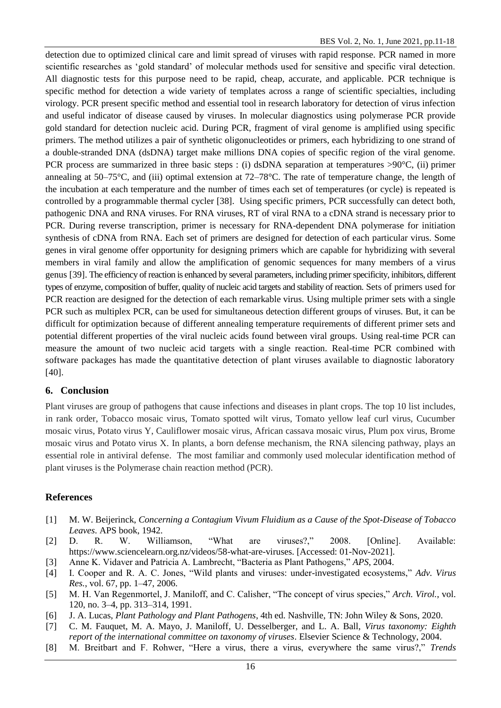detection due to optimized clinical care and limit spread of viruses with rapid response. PCR named in more scientific researches as 'gold standard' of molecular methods used for sensitive and specific viral detection. All diagnostic tests for this purpose need to be rapid, cheap, accurate, and applicable. PCR technique is specific method for detection a wide variety of templates across a range of scientific specialties, including virology. PCR present specific method and essential tool in research laboratory for detection of virus infection and useful indicator of disease caused by viruses. In molecular diagnostics using polymerase PCR provide gold standard for detection nucleic acid. During PCR, fragment of viral genome is amplified using specific primers. The method utilizes a pair of synthetic oligonucleotides or primers, each hybridizing to one strand of a double-stranded DNA (dsDNA) target make millions DNA copies of specific region of the viral genome. PCR process are summarized in three basic steps : (i) dsDNA separation at temperatures >90°C, (ii) primer annealing at 50–75°C, and (iii) optimal extension at 72–78°C. The rate of temperature change, the length of the incubation at each temperature and the number of times each set of temperatures (or cycle) is repeated is controlled by a programmable thermal cycler [38]. Using specific primers, PCR successfully can detect both, pathogenic DNA and RNA viruses. For RNA viruses, RT of viral RNA to a cDNA strand is necessary prior to PCR. During reverse transcription, primer is necessary for RNA-dependent DNA polymerase for initiation synthesis of cDNA from RNA. Each set of primers are designed for detection of each particular virus. Some genes in viral genome offer opportunity for designing primers which are capable for hybridizing with several members in viral family and allow the amplification of genomic sequences for many members of a virus genus [39]. The efficiency of reaction is enhanced by several parameters, including primer specificity, inhibitors, different types of enzyme, composition of buffer, quality of nucleic acid targets and stability of reaction. Sets of primers used for PCR reaction are designed for the detection of each remarkable virus. Using multiple primer sets with a single PCR such as multiplex PCR, can be used for simultaneous detection different groups of viruses. But, it can be difficult for optimization because of different annealing temperature requirements of different primer sets and potential different properties of the viral nucleic acids found between viral groups. Using real-time PCR can measure the amount of two nucleic acid targets with a single reaction. Real-time PCR combined with software packages has made the quantitative detection of plant viruses available to diagnostic laboratory [40].

### **6. Conclusion**

Plant viruses are group of pathogens that cause infections and diseases in plant crops. The top 10 list includes, in rank order, Tobacco mosaic virus, Tomato spotted wilt virus, Tomato yellow leaf curl virus, Cucumber mosaic virus, Potato virus Y, Cauliflower mosaic virus, African cassava mosaic virus, Plum pox virus, Brome mosaic virus and Potato virus X. In plants, a born defense mechanism, the RNA silencing pathway, plays an essential role in antiviral defense. The most familiar and commonly used molecular identification method of plant viruses is the Polymerase chain reaction method (PCR).

## **References**

- [1] M. W. Beijerinck, *Concerning a Contagium Vivum Fluidium as a Cause of the Spot-Disease of Tobacco Leaves*. APS book, 1942.
- [2] D. R. W. Williamson, "What are viruses?," 2008. [Online]. Available: https://www.sciencelearn.org.nz/videos/58-what-are-viruses. [Accessed: 01-Nov-2021].
- [3] Anne K. Vidaver and Patricia A. Lambrecht, "Bacteria as Plant Pathogens," *APS*, 2004.
- [4] I. Cooper and R. A. C. Jones, "Wild plants and viruses: under-investigated ecosystems," *Adv. Virus Res.*, vol. 67, pp. 1–47, 2006.
- [5] M. H. Van Regenmortel, J. Maniloff, and C. Calisher, "The concept of virus species," *Arch. Virol.*, vol. 120, no. 3–4, pp. 313–314, 1991.
- [6] J. A. Lucas, *Plant Pathology and Plant Pathogens*, 4th ed. Nashville, TN: John Wiley & Sons, 2020.
- [7] C. M. Fauquet, M. A. Mayo, J. Maniloff, U. Desselberger, and L. A. Ball, *Virus taxonomy: Eighth report of the international committee on taxonomy of viruses*. Elsevier Science & Technology, 2004.
- [8] M. Breitbart and F. Rohwer, "Here a virus, there a virus, everywhere the same virus?," *Trends*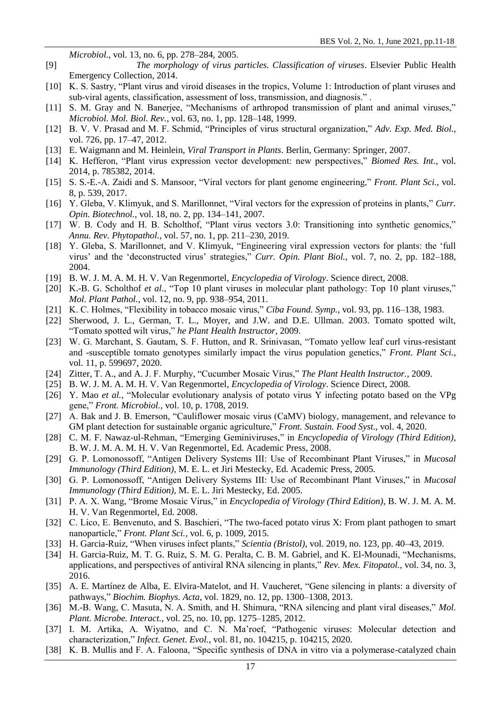*Microbiol.*, vol. 13, no. 6, pp. 278–284, 2005.

- [9] *The morphology of virus particles. Classification of viruses*. Elsevier Public Health Emergency Collection, 2014.
- [10] K. S. Sastry, "Plant virus and viroid diseases in the tropics, Volume 1: Introduction of plant viruses and sub-viral agents, classification, assessment of loss, transmission, and diagnosis." .
- [11] S. M. Gray and N. Banerjee, "Mechanisms of arthropod transmission of plant and animal viruses," *Microbiol. Mol. Biol. Rev.*, vol. 63, no. 1, pp. 128–148, 1999.
- [12] B. V. V. Prasad and M. F. Schmid, "Principles of virus structural organization," *Adv. Exp. Med. Biol.*, vol. 726, pp. 17–47, 2012.
- [13] E. Waigmann and M. Heinlein, *Viral Transport in Plants*. Berlin, Germany: Springer, 2007.
- [14] K. Hefferon, "Plant virus expression vector development: new perspectives," *Biomed Res. Int.*, vol. 2014, p. 785382, 2014.
- [15] S. S.-E.-A. Zaidi and S. Mansoor, "Viral vectors for plant genome engineering," *Front. Plant Sci.*, vol. 8, p. 539, 2017.
- [16] Y. Gleba, V. Klimyuk, and S. Marillonnet, "Viral vectors for the expression of proteins in plants," *Curr. Opin. Biotechnol.*, vol. 18, no. 2, pp. 134–141, 2007.
- [17] W. B. Cody and H. B. Scholthof, "Plant virus vectors 3.0: Transitioning into synthetic genomics," *Annu. Rev. Phytopathol.*, vol. 57, no. 1, pp. 211–230, 2019.
- [18] Y. Gleba, S. Marillonnet, and V. Klimyuk, "Engineering viral expression vectors for plants: the 'full virus' and the 'deconstructed virus' strategies," *Curr. Opin. Plant Biol.*, vol. 7, no. 2, pp. 182–188, 2004.
- [19] B. W. J. M. A. M. H. V. Van Regenmortel, *Encyclopedia of Virology*. Science direct, 2008.
- [20] K.-B. G. Scholthof *et al.*, "Top 10 plant viruses in molecular plant pathology: Top 10 plant viruses," *Mol. Plant Pathol.*, vol. 12, no. 9, pp. 938–954, 2011.
- [21] K. C. Holmes, "Flexibility in tobacco mosaic virus," *Ciba Found. Symp.*, vol. 93, pp. 116–138, 1983.
- [22] Sherwood, J. L., German, T. L., Moyer, and J.W. and D.E. Ullman. 2003. Tomato spotted wilt, "Tomato spotted wilt virus," *he Plant Health Instructor*, 2009.
- [23] W. G. Marchant, S. Gautam, S. F. Hutton, and R. Srinivasan, "Tomato yellow leaf curl virus-resistant and -susceptible tomato genotypes similarly impact the virus population genetics," *Front. Plant Sci.*, vol. 11, p. 599697, 2020.
- [24] Zitter, T. A., and A. J. F. Murphy, "Cucumber Mosaic Virus," *The Plant Health Instructor.*, 2009.
- [25] B. W. J. M. A. M. H. V. Van Regenmortel, *Encyclopedia of Virology*. Science Direct, 2008.
- [26] Y. Mao *et al.*, "Molecular evolutionary analysis of potato virus Y infecting potato based on the VPg gene," *Front. Microbiol.*, vol. 10, p. 1708, 2019.
- [27] A. Bak and J. B. Emerson, "Cauliflower mosaic virus (CaMV) biology, management, and relevance to GM plant detection for sustainable organic agriculture," *Front. Sustain. Food Syst.*, vol. 4, 2020.
- [28] C. M. F. Nawaz-ul-Rehman, "Emerging Geminiviruses," in *Encyclopedia of Virology (Third Edition)*, B. W. J. M. A. M. H. V. Van Regenmortel, Ed. Academic Press, 2008.
- [29] G. P. Lomonossoff, "Antigen Delivery Systems III: Use of Recombinant Plant Viruses," in *Mucosal Immunology (Third Edition)*, M. E. L. et Jiri Mestecky, Ed. Academic Press, 2005.
- [30] G. P. Lomonossoff, "Antigen Delivery Systems III: Use of Recombinant Plant Viruses," in *Mucosal Immunology (Third Edition)*, M. E. L. Jiri Mestecky, Ed. 2005.
- [31] P. A. X. Wang, "Brome Mosaic Virus," in *Encyclopedia of Virology (Third Edition)*, B. W. J. M. A. M. H. V. Van Regenmortel, Ed. 2008.
- [32] C. Lico, E. Benvenuto, and S. Baschieri, "The two-faced potato virus X: From plant pathogen to smart nanoparticle," *Front. Plant Sci.*, vol. 6, p. 1009, 2015.
- [33] H. Garcia-Ruiz, "When viruses infect plants," *Scientia (Bristol)*, vol. 2019, no. 123, pp. 40–43, 2019.
- [34] H. Garcia-Ruiz, M. T. G. Ruiz, S. M. G. Peralta, C. B. M. Gabriel, and K. El-Mounadi, "Mechanisms, applications, and perspectives of antiviral RNA silencing in plants," *Rev. Mex. Fitopatol.*, vol. 34, no. 3, 2016.
- [35] A. E. Martínez de Alba, E. Elvira-Matelot, and H. Vaucheret, "Gene silencing in plants: a diversity of pathways," *Biochim. Biophys. Acta*, vol. 1829, no. 12, pp. 1300–1308, 2013.
- [36] M.-B. Wang, C. Masuta, N. A. Smith, and H. Shimura, "RNA silencing and plant viral diseases," *Mol. Plant. Microbe. Interact.*, vol. 25, no. 10, pp. 1275–1285, 2012.
- [37] I. M. Artika, A. Wiyatno, and C. N. Ma'roef, "Pathogenic viruses: Molecular detection and characterization," *Infect. Genet. Evol.*, vol. 81, no. 104215, p. 104215, 2020.
- [38] K. B. Mullis and F. A. Faloona, "Specific synthesis of DNA in vitro via a polymerase-catalyzed chain